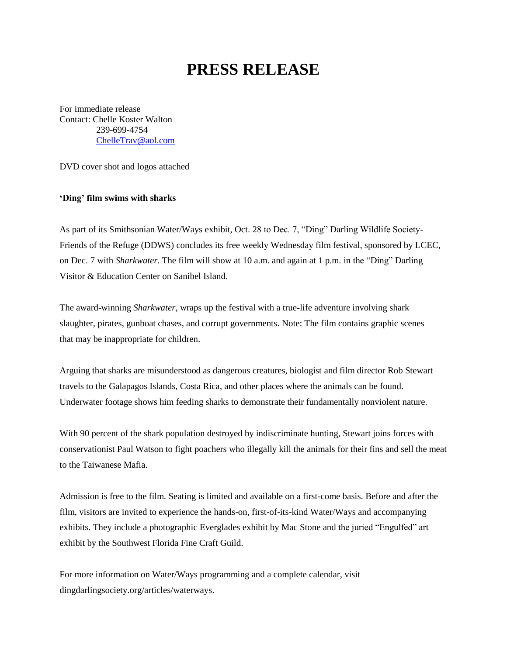## **PRESS RELEASE**

For immediate release Contact: Chelle Koster Walton 239-699-4754 [ChelleTrav@aol.com](mailto:ChelleTrav@aol.com)

DVD cover shot and logos attached

## **'Ding' film swims with sharks**

As part of its Smithsonian Water/Ways exhibit, Oct. 28 to Dec. 7, "Ding" Darling Wildlife Society-Friends of the Refuge (DDWS) concludes its free weekly Wednesday film festival, sponsored by LCEC, on Dec. 7 with *Sharkwater.* The film will show at 10 a.m. and again at 1 p.m. in the "Ding" Darling Visitor & Education Center on Sanibel Island.

The award-winning *Sharkwater*, wraps up the festival with a true-life adventure involving shark slaughter, pirates, gunboat chases, and corrupt governments. Note: The film contains graphic scenes that may be inappropriate for children.

Arguing that sharks are misunderstood as dangerous creatures, biologist and film director Rob Stewart travels to the Galapagos Islands, Costa Rica, and other places where the animals can be found. Underwater footage shows him feeding sharks to demonstrate their fundamentally nonviolent nature.

With 90 percent of the shark population destroyed by indiscriminate hunting, Stewart joins forces with conservationist Paul Watson to fight poachers who illegally kill the animals for their fins and sell the meat to the Taiwanese Mafia.

Admission is free to the film. Seating is limited and available on a first-come basis. Before and after the film, visitors are invited to experience the hands-on, first-of-its-kind Water/Ways and accompanying exhibits. They include a photographic Everglades exhibit by Mac Stone and the juried "Engulfed" art exhibit by the Southwest Florida Fine Craft Guild.

For more information on Water/Ways programming and a complete calendar, visit dingdarlingsociety.org/articles/waterways.